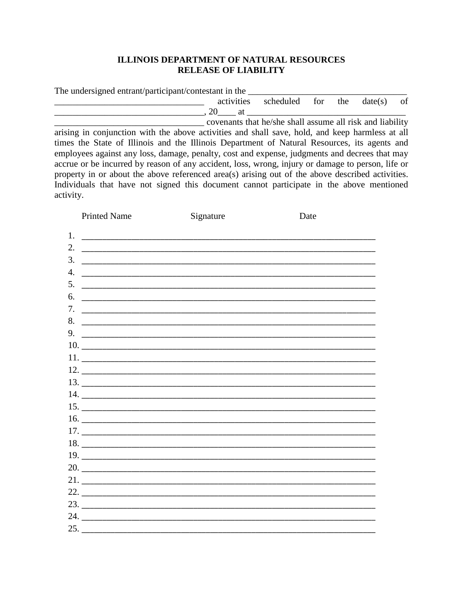## **ILLINOIS DEPARTMENT OF NATURAL RESOURCES RELEASE OF LIABILITY**

| The undersigned entrant/participant/contestant in the |                                      |  |   |      |
|-------------------------------------------------------|--------------------------------------|--|---|------|
|                                                       | activities scheduled for the date(s) |  |   | - of |
|                                                       |                                      |  |   |      |
|                                                       |                                      |  | . |      |

covenants that he/she shall assume all risk and liability arising in conjunction with the above activities and shall save, hold, and keep harmless at all times the State of Illinois and the Illinois Department of Natural Resources, its agents and employees against any loss, damage, penalty, cost and expense, judgments and decrees that may accrue or be incurred by reason of any accident, loss, wrong, injury or damage to person, life or property in or about the above referenced area(s) arising out of the above described activities. Individuals that have not signed this document cannot participate in the above mentioned activity.

|    | <b>Printed Name</b> | Signature                      | Date |  |
|----|---------------------|--------------------------------|------|--|
| 1. |                     |                                |      |  |
|    |                     |                                |      |  |
| 3. |                     |                                |      |  |
| 4. |                     |                                |      |  |
| 5. |                     |                                |      |  |
| 6. |                     |                                |      |  |
| 7. |                     |                                |      |  |
|    | 8.                  |                                |      |  |
|    |                     |                                |      |  |
|    |                     | $10.$ $\overline{\phantom{a}}$ |      |  |
|    |                     |                                |      |  |
|    |                     |                                |      |  |
|    |                     |                                |      |  |
|    |                     |                                |      |  |
|    |                     |                                |      |  |
|    |                     |                                |      |  |
|    |                     |                                |      |  |
|    |                     |                                |      |  |
|    |                     |                                |      |  |
|    |                     | $20.$ $\overline{\phantom{a}}$ |      |  |
|    |                     |                                |      |  |
|    |                     | $22.$ $\overline{\phantom{}}$  |      |  |
|    |                     |                                |      |  |
|    |                     |                                |      |  |
|    |                     |                                |      |  |